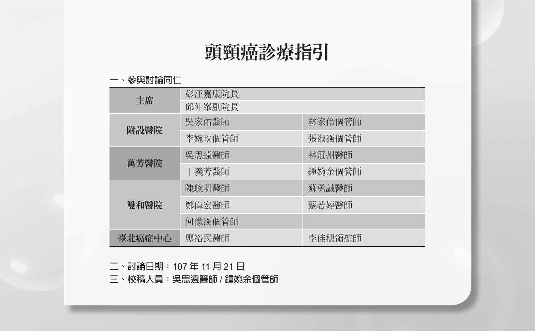# 頭頸癌診療指引

#### **一、參與討論同仁**

| 丰席     | 彭汪嘉康院長<br>邱仲峯副院長 |        |  |
|--------|------------------|--------|--|
|        | 吳家佑醫師            | 林家伶個管師 |  |
| 附設醫院   | 李婉玫個管師           | 張淑涵個管師 |  |
|        | 吳思遠醫師            | 林冠州醫師  |  |
| 萬芳醫院   | 丁義芳醫師            | 鍾婉余個管師 |  |
|        | 陳聰明醫師            | 蘇勇誠醫師  |  |
| 雙和醫院   | 鄭偉宏醫師            | 蔡若婷醫師  |  |
|        | 何豫涵個管師           |        |  |
| 臺北癌症中心 | 廖裕民醫師            | 李佳穗領航師 |  |

**二、討論日期:**107 **年** 11 **月** 21 **日**

**三、校稿人員:吳思遠醫師** / **鍾婉余個管師**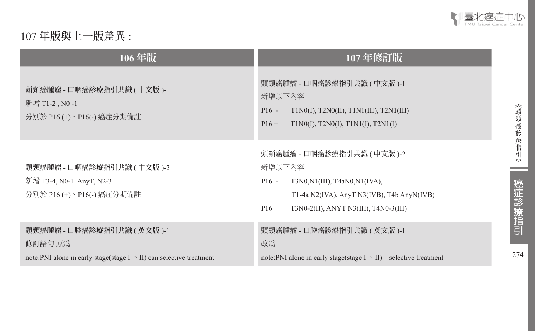

## 107 **年版與上一版差異** :

| 106年版                                                                                | 107年修訂版                                                                                                                                                                                 |
|--------------------------------------------------------------------------------------|-----------------------------------------------------------------------------------------------------------------------------------------------------------------------------------------|
| 頭頸癌腫瘤 - 口咽癌診療指引共識 ( 中文版 )-1<br>新增 T1-2, N0-1<br>分別於 P16 (+)、P16(-) 癌症分期備註            | 頭頸癌腫瘤 - 口咽癌診療指引共識 ( 中文版 )-1<br>新增以下內容<br>$P16 -$<br>$T1N0(I)$ , $T2N0(II)$ , $T1N1(III)$ , $T2N1(III)$<br>T1N0(I), T2N0(I), T1N1(I), T2N1(I)<br>$P16+$                                  |
| 頭頸癌腫瘤 - 口咽癌診療指引共識 ( 中文版 )-2<br>新增 T3-4, N0-1 AnyT, N2-3<br>分別於 P16 (+)、P16(-) 癌症分期備註 | 頭頸癌腫瘤 - 口咽癌診療指引共識 ( 中文版 )-2<br>新增以下內容<br>$P16 -$<br>$T3N0,N1(III)$ , $T4aN0,N1(IVA)$ ,<br>T1-4a N2(IVA), AnyT N3(IVB), T4b AnyN(IVB)<br>T3N0-2(II), ANYT N3(III), T4N0-3(III)<br>$P16+$ |
| 頭頸癌腫瘤 - 口腔癌診療指引共識 ( 英文版 )-1<br>修訂語句 原爲                                               | 頭頸癌腫瘤 - 口腔癌診療指引共識 ( 英文版 )-1<br>改為                                                                                                                                                       |
| note: PNI alone in early stage(stage $I \sim II$ ) can selective treatment           | note: PNI alone in early stage(stage $I \sim II$ ) selective treatment                                                                                                                  |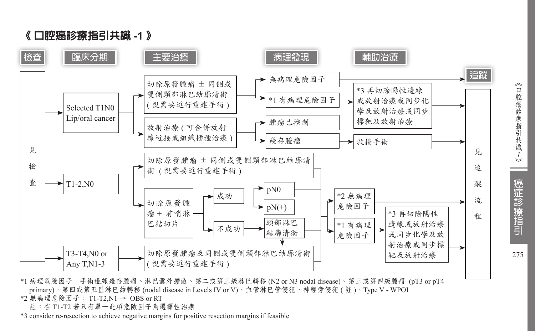



\*1 病理危險因子:手術邊緣殘存腫瘤、淋巴囊外擴散、第二或第三級淋巴轉移 (N2 or N3 nodal disease)、第三或第四級腫瘤 (pT3 or pT4 primary)、第四或第五區淋巴結轉移 (nodal disease in Levels IV or V)、血管淋巴管侵犯、神經旁侵犯 ( 註 )、Type V - WPOI

\*2 無病理危險因子: T1-T2,N1 → OBS or RT

註:在 T1-T2 若只有單一此項危險因子為選擇性治療

\*3 consider re-resection to achieve negative margins for positive resection margins if feasible

《口腔癌診療指引共識 *1*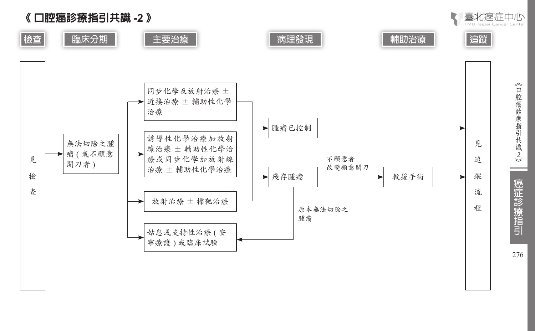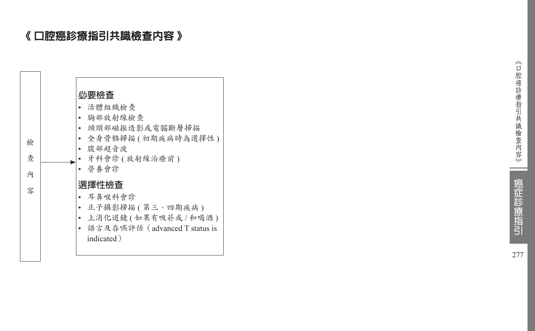## 《 口腔癌診療指引共識檢查內容 》

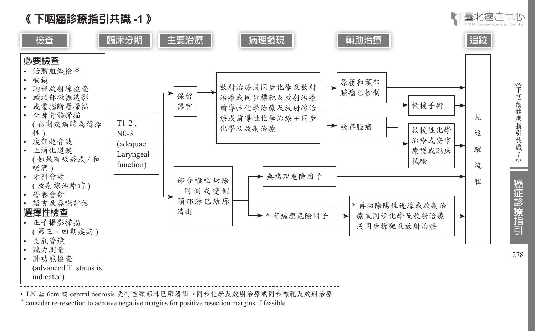



• LN ≧ 6cm 或 central necrosis 先行性頸部淋巴廓清術→同步化學及放射治療或同步標靶及放射治療<br>\* consider re-resection to achieve negative margins for positive resection margins if feasible

《下咽癌診療指引共識 *1*

毫北癌症中心

癌症診療指引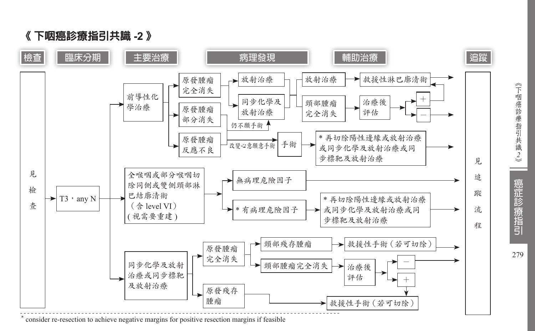



\* consider re-resection to achieve negative margins for positive resection margins if feasible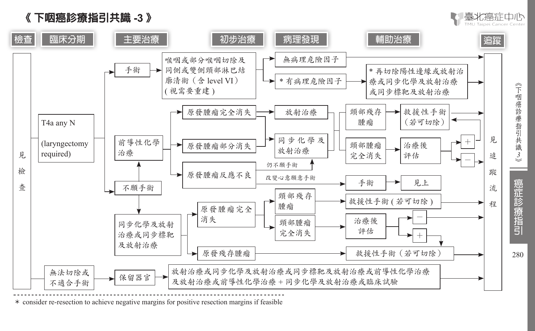





\* consider re-resection to achieve negative margins for positive resection margins if feasible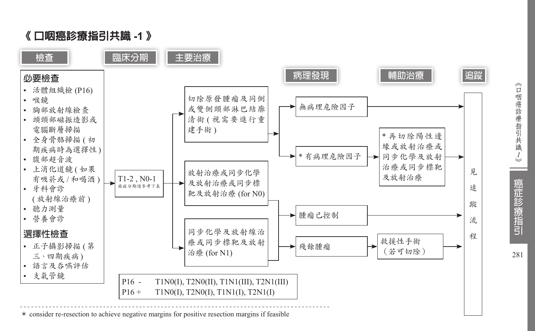

<sup>\*</sup> consider re-resection to achieve negative margins for positive resection margins if feasible

《口咽癌診療指引共識 *1*

癌症診療指引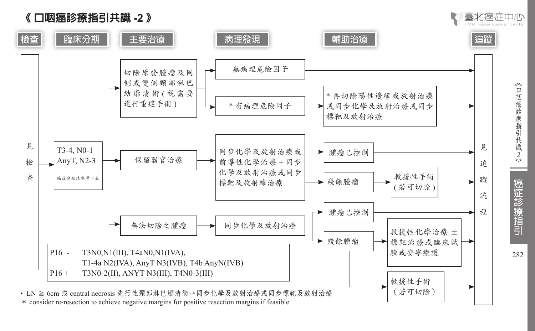



《口咽癌診療指引共識2》

|- 裏北癌症由||ト

癌症診療指引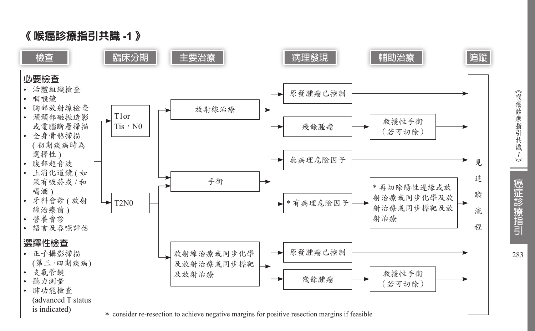

《喉癌診療指引共識 *1*

癌症診療指引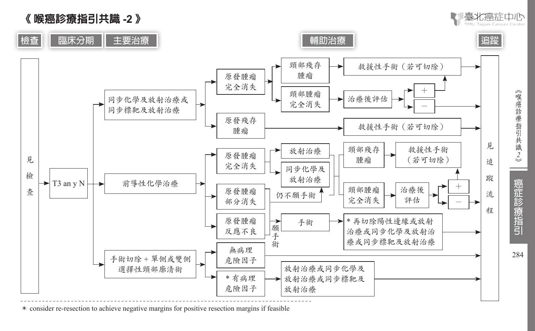



\* consider re-resection to achieve negative margins for positive resection margins if feasible

《喉癌診療指引共識2》

臺北癌症中心

癌症診療指引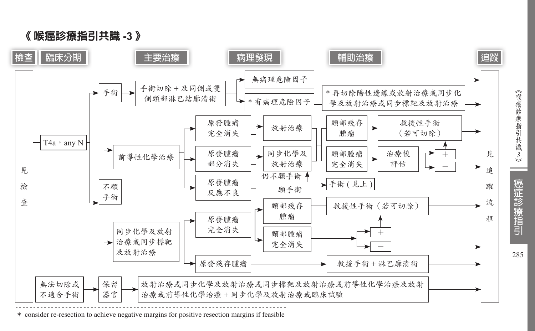

<sup>《</sup> 喉癌診療指引共識 **-3** 》

\* consider re-resection to achieve negative margins for positive resection margins if feasible

《喉癌診療指引共識3》 癌症診療指引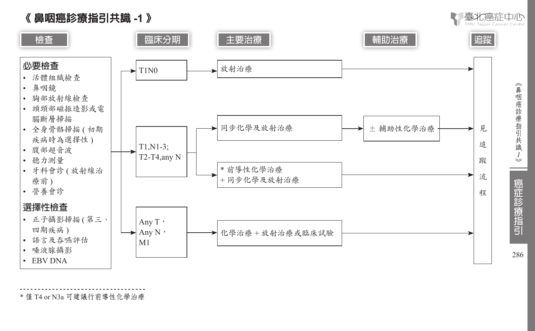



\* 僅 T4 or N3a 可建議行前導性化學治療

《鼻咽癌診療指引共識 *1*

【/ 臺北癌症中心

癌症診療指引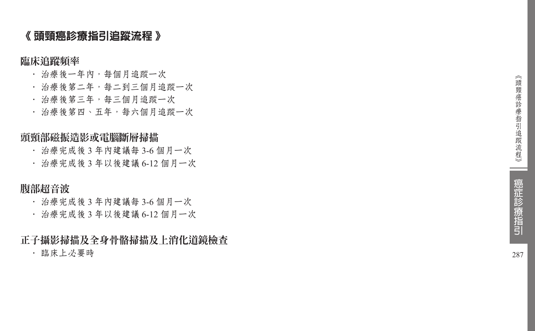## 《 頭頸癌診療指引追蹤流程 》

臨床追蹤頻率

- ‧ 治療後一年內,每個月追蹤一次
- ‧ 治療後第二年,每二到三個月追蹤一次
- ‧ 治療後第三年,每三個月追蹤一次
- ‧ 治療後第四、五年,每六個月追蹤一次

## 頭頸部磁振造影或電腦斷層掃描

- ‧ 治療完成後 3 年內建議每 3-6 個月一次
- ‧ 治療完成後 3 年以後建議 6-12 個月一次

## 腹部超音波

- ‧ 治療完成後 3 年內建議每 3-6 個月一次
- ‧ 治療完成後 3 年以後建議 6-12 個月一次

正子攝影掃描及全身骨骼掃描及上消化道鏡檢查

‧ 臨床上必要時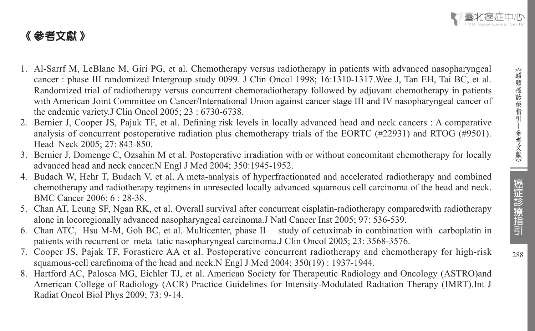## 《 參考文獻 》

- 1. Al-Sarrf M, LeBlanc M, Giri PG, et al. Chemotherapy versus radiotherapy in patients with advanced nasopharyngeal cancer : phase III randomized Intergroup study 0099. J Clin Oncol 1998; 16:1310-1317.Wee J, Tan EH, Tai BC, et al. Randomized trial of radiotherapy versus concurrent chemoradiotherapy followed by adjuvant chemotherapy in patients with American Joint Committee on Cancer/International Union against cancer stage III and IV nasopharyngeal cancer of the endemic variety.J Clin Oncol 2005; 23 : 6730-6738.
- 2. Bernier J, Cooper JS, Pajuk TF, et al. Defining risk levels in locally advanced head and neck cancers : A comparative analysis of concurrent postoperative radiation plus chemotherapy trials of the EORTC (#22931) and RTOG (#9501). Head Neck 2005; 27: 843-850.
- 3. Bernier J, Domenge C, Ozsahin M et al. Postoperative irradiation with or without concomitant chemotherapy for locally advanced head and neck cancer.N Engl J Med 2004; 350:1945-1952.
- 4. Budach W, Hehr T, Budach V, et al. A meta-analysis of hyperfractionated and accelerated radiotherapy and combined chemotherapy and radiotherapy regimens in unresected locally advanced squamous cell carcinoma of the head and neck. BMC Cancer 2006; 6 : 28-38.
- 5. Chan AT, Leung SF, Ngan RK, et al. Overall survival after concurrent cisplatin-radiotherapy comparedwith radiotherapy alone in locoregionally advanced nasopharyngeal carcinoma.J Natl Cancer Inst 2005; 97: 536-539.
- 6. Chan ATC, Hsu M-M, Goh BC, et al. Multicenter, phase II study of cetuximab in combination with carboplatin in patients with recurrent or meta tatic nasopharyngeal carcinoma.J Clin Oncol 2005; 23: 3568-3576.
- 7. Cooper JS, Pajak TF, Forastiere AA et al. Postoperative concurrent radiotherapy and chemotherapy for high-risk squamous-cell carcfinoma of the head and neck.N Engl J Med 2004; 350(19) : 1937-1944.
- 8. Hartford AC, Palosca MG, Eichler TJ, et al. American Society for Therapeutic Radiology and Oncology (ASTRO)and American College of Radiology (ACR) Practice Guidelines for Intensity-Modulated Radiation Therapy (IMRT).Int J Radiat Oncol Biol Phys 2009; 73: 9-14.

 $\overline{\phantom{0}}$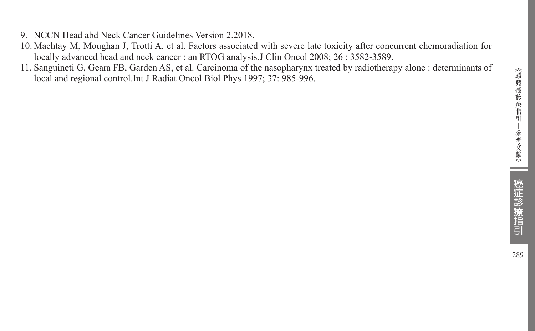- 9. NCCN Head abd Neck Cancer Guidelines Version 2.2018.
- 10. Machtay M, Moughan J, Trotti A, et al. Factors associated with severe late toxicity after concurrent chemoradiation for locally advanced head and neck cancer : an RTOG analysis.J Clin Oncol 2008; 26 : 3582-3589.
- 11. Sanguineti G, Geara FB, Garden AS, et al. Carcinoma of the nasopharynx treated by radiotherapy alone : determinants of local and regional control.Int J Radiat Oncol Biol Phys 1997; 37: 985-996.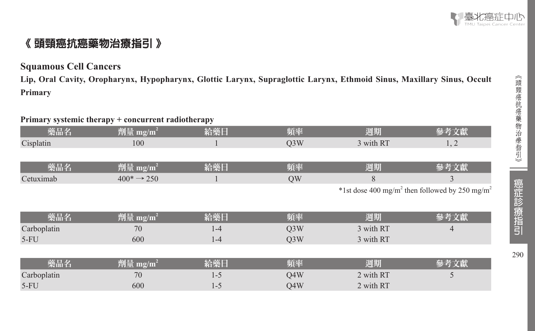

## 《 頭頸癌抗癌藥物治療指引 》

#### **Squamous Cell Cancers**

**Lip, Oral Cavity, Oropharynx, Hypopharynx, Glottic Larynx, Supraglottic Larynx, Ethmoid Sinus, Maxillary Sinus, Occult Primary**

### **Primary systemic therapy + concurrent radiotherapy**

| 藥品名         | 劑量 mg/m <sup>2</sup>    | 給藥日     | 頻率               | 週期        | 參考文獻                                                                   |
|-------------|-------------------------|---------|------------------|-----------|------------------------------------------------------------------------|
| Cisplatin   | 100                     |         | Q <sub>3</sub> W | 3 with RT | 1, 2                                                                   |
|             |                         |         |                  |           |                                                                        |
| 藥品名         | 劑量 mg/m <sup>2</sup>    | 給藥日     | 頻率               | 週期        | 參考文獻                                                                   |
| Cetuximab   | $400^* \rightarrow 250$ |         | QW               | 8         | 3                                                                      |
|             |                         |         |                  |           | *1st dose 400 mg/m <sup>2</sup> then followed by 250 mg/m <sup>2</sup> |
|             |                         |         |                  |           |                                                                        |
| 藥品名         | 劑量 mg/m <sup>2</sup>    | 給藥日     | 頻率               | 週期        | 參考文獻                                                                   |
| Carboplatin | 70                      | $1 - 4$ | Q <sub>3</sub> W | 3 with RT | 4                                                                      |
| $5-FU$      | 600                     | $1 - 4$ | Q <sub>3</sub> W | 3 with RT |                                                                        |
|             |                         |         |                  |           |                                                                        |
| 藥品名         | 劑量 mg/m <sup>2</sup>    | 給藥日     | 頻率               | 週期        | 參考文獻                                                                   |
| Carboplatin | 70                      | $1 - 5$ | Q4W              | 2 with RT | 5                                                                      |
| $5-FU$      | 600                     | $1 - 5$ | Q4W              | 2 with RT |                                                                        |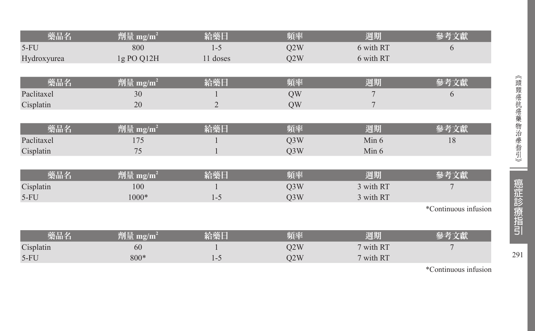| 藥品名         | 劑量 mg/m <sup>2</sup> | 給藥日            | 頻率               | 週期        | 參考文獻                 |
|-------------|----------------------|----------------|------------------|-----------|----------------------|
| $5-FU$      | 800                  | $1 - 5$        | Q2W              | 6 with RT | 6                    |
| Hydroxyurea | 1g PO Q12H           | 11 doses       | Q2W              | 6 with RT |                      |
|             |                      |                |                  |           |                      |
| 藥品名         | 劑量 mg/m <sup>2</sup> | 給藥日            | 頻率               | 週期        | 參考文獻                 |
| Paclitaxel  | 30                   |                | QW               |           | 6                    |
| Cisplatin   | 20                   | $\overline{2}$ | QW               | 7         |                      |
|             |                      |                |                  |           |                      |
| 藥品名         | 劑量 mg/m <sup>2</sup> | 給藥日            | 頻率               | 週期        | 參考文獻                 |
| Paclitaxel  | 175                  |                | Q3W              | Min 6     | 18                   |
| Cisplatin   | 75                   |                | Q <sub>3</sub> W | Min 6     |                      |
|             |                      |                |                  |           |                      |
| 藥品名         | 劑量 mg/m <sup>2</sup> | 給藥日            | 頻率               | 週期        | 參考文獻                 |
| Cisplatin   | 100                  |                | Q3W              | 3 with RT | 7                    |
| $5-FU$      | 1000*                | $1 - 5$        | Q3W              | 3 with RT |                      |
|             |                      |                |                  |           | *Continuous infusion |
|             |                      |                |                  |           |                      |
| 藥品名         | 劑量 mg/m <sup>2</sup> | 給藥日            | 頻率               | 週期        | 參考文獻                 |
| Cisplatin   | 60                   |                | Q2W              | 7 with RT | 7                    |
| $5-FU$      | 800*                 | $1 - 5$        | Q2W              | 7 with RT |                      |

\*Continuous infusion

291

⊐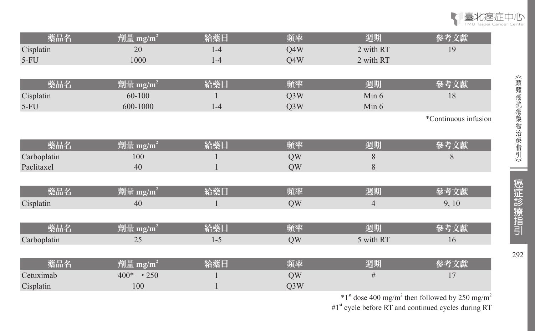

| 藥品名         | 劑量 mg/m <sup>2</sup>    | 給藥日     | 頻率  | 週期             | 參考文獻                 |
|-------------|-------------------------|---------|-----|----------------|----------------------|
| Cisplatin   | 20                      | $1 - 4$ | Q4W | 2 with RT      | 19                   |
| $5-FU$      | 1000                    | $1-4$   | Q4W | 2 with RT      |                      |
|             |                         |         |     |                |                      |
| 藥品名         | 劑量 mg/m <sup>2</sup>    | 給藥日     | 頻率  | 週期             | 參考文獻                 |
| Cisplatin   | 60-100                  |         | Q3W | Min 6          | 18                   |
| $5-FU$      | 600-1000                | $1-4$   | Q3W | Min 6          |                      |
|             |                         |         |     |                | *Continuous infusion |
|             |                         |         |     |                |                      |
| 藥品名         | 劑量 mg/m <sup>2</sup>    | 給藥日     | 頻率  | 週期             | 參考文獻                 |
| Carboplatin | 100                     |         | QW  | 8              | 8                    |
| Paclitaxel  | 40                      |         | QW  | 8              |                      |
|             |                         |         |     |                |                      |
| 藥品名         | 劑量 mg/m <sup>2</sup>    | 給藥日     | 頻率  | 週期             | 參考文獻                 |
| Cisplatin   | 40                      |         | QW  | $\overline{4}$ | 9, 10                |
|             |                         |         |     |                |                      |
| 藥品名         | 劑量 mg/m <sup>2</sup>    | 給藥日     | 頻率  | 週期             | 參考文獻                 |
| Carboplatin | 25                      | $1 - 5$ | QW  | 5 with RT      | 16                   |
|             |                         |         |     |                |                      |
| 藥品名         | 劑量 mg/m <sup>2</sup>    | 給藥日     | 頻率  | 週期             | 參考文獻                 |
| Cetuximab   | $400^* \rightarrow 250$ |         | QW  | #              | 17                   |
| Cisplatin   | 100                     |         | Q3W |                |                      |

 $*1<sup>st</sup>$  dose 400 mg/m<sup>2</sup> then followed by 250 mg/m<sup>2</sup>

#1<sup>st</sup> cycle before RT and continued cycles during RT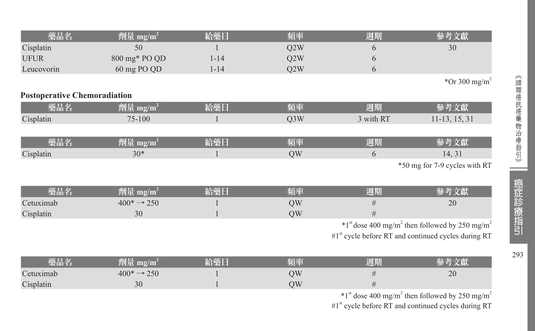| 藥品名                                 | 劑量 mg/m <sup>2</sup>          | 給藥日          | 頻率               | 週期                                                              | 參考文獻                                                                     |
|-------------------------------------|-------------------------------|--------------|------------------|-----------------------------------------------------------------|--------------------------------------------------------------------------|
| Cisplatin                           | 50                            |              | Q2W              | 6                                                               | 30                                                                       |
| <b>UFUR</b>                         | 800 mg* PO QD                 | $1 - 14$     | Q2W              | 6                                                               |                                                                          |
| Leucovorin                          | 60 mg PO QD                   | $1 - 14$     | Q2W              | 6                                                               |                                                                          |
|                                     |                               |              |                  |                                                                 | *Or 300 mg/m <sup>2</sup>                                                |
| <b>Postoperative Chemoradiation</b> |                               |              |                  |                                                                 |                                                                          |
| 藥品名                                 | 劑量 mg/m <sup>2</sup>          | 給藥日          | 頻率               | 週期                                                              | 參考文獻                                                                     |
| Cisplatin                           | 75-100                        | -1           | Q <sub>3</sub> W | 3 with RT                                                       | $11-13, 15, 31$                                                          |
|                                     |                               |              |                  |                                                                 |                                                                          |
| 藥品名                                 | 劑量 mg/m <sup>2</sup>          | 給藥日          | 頻率               | 週期                                                              | 參考文獻                                                                     |
| Cisplatin                           | $30*$                         | $\mathbf{1}$ | QW               | 6                                                               | 14, 31                                                                   |
|                                     |                               |              |                  |                                                                 | *50 mg for 7-9 cycles with RT                                            |
|                                     |                               |              |                  |                                                                 |                                                                          |
| 藥品名                                 | 劑量 mg/m <sup>2</sup>          | 給藥日          | 頻率               | 週期                                                              | 參考文獻                                                                     |
| Cetuximab                           | $400^* \rightarrow 250$       |              | QW               | #                                                               | 20                                                                       |
| Cisplatin                           | 30                            |              | QW               | #                                                               |                                                                          |
|                                     |                               |              |                  |                                                                 | $*1st$ dose 400 mg/m <sup>2</sup> then followed by 250 mg/m <sup>2</sup> |
|                                     |                               |              |                  | #1 <sup>st</sup> cycle before RT and continued cycles during RT |                                                                          |
|                                     |                               |              |                  |                                                                 |                                                                          |
| 藥品名                                 | $\hat{m}$ 量 mg/m <sup>2</sup> | 給藥日          | 頻率               | 週期                                                              | 參考文獻                                                                     |
| Cetuximab                           | $400^* \rightarrow 250$       |              | QW               | $\#$                                                            | 20                                                                       |
| Cisplatin                           | 30                            |              | QW               | #                                                               |                                                                          |
|                                     |                               |              |                  |                                                                 | $*1st$ dose 400 mg/m <sup>2</sup> then followed by 250 mg/m <sup>2</sup> |

#1<sup>st</sup> cycle before RT and continued cycles during RT

 $\equiv$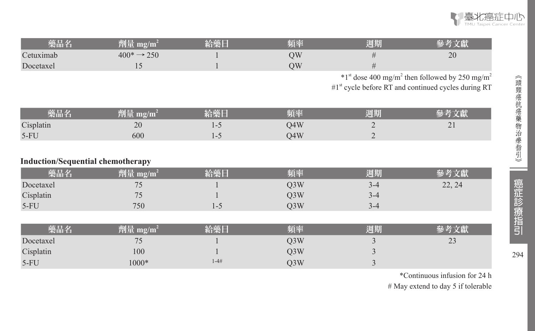

| 藥品名       | 劑量<br>$\mathbf{m}$ g/m                   | 頃率 | 週期 |    |
|-----------|------------------------------------------|----|----|----|
| Cetuximab | $\rightarrow$ 250<br>$400^* \rightarrow$ | ЭΜ |    | 20 |
| Docetaxel |                                          | ЭW |    |    |

 $*1<sup>st</sup>$  dose 400 mg/m<sup>2</sup> then followed by 250 mg/m<sup>2</sup>

 $#1^{\text{st}}$  cycle before RT and continued cycles during RT

| 藥品名       | $m\Omega/m$<br>WI II |                          | 頊牽  | 週期 |          |
|-----------|----------------------|--------------------------|-----|----|----------|
| Cisplatin | 20                   |                          | O4W |    | $\sim$ 1 |
| $5-FU$    | 600                  | $\overline{\phantom{0}}$ | 04W |    |          |

#### **Induction/Sequential chemotherapy**

| 藥品名       | 齊量 mg/m $^2$             | 给藥日 | 頻率  | 週期      |        |
|-----------|--------------------------|-----|-----|---------|--------|
| Docetaxel | $\overline{\phantom{a}}$ |     | J3W | 3-4     | 22, 24 |
| Cisplatin | $\sim$                   |     | J3W | $3 - 4$ |        |
| $5-FU$    | 750                      | 1-3 | O3W | 3-4     |        |

| 藥品名       | 劑量 mg/m $^2$ | 不绝的      | 頻率  | 周期 |                     |
|-----------|--------------|----------|-----|----|---------------------|
| Docetaxel | $\mathbf{r}$ |          | 03W |    | $2^{\Omega}$<br>ر ے |
| Cisplatin | 100          |          | Q3W |    |                     |
| $5-FU$    | $000*$       | $1 - 4#$ | J3W |    |                     |

\*Continuous infusion for 24 h # May extend to day 5 if tolerable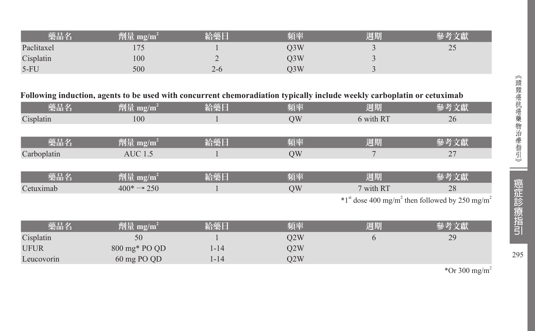|            | 齊量 mg/m $^{2}$ | 給樂日     | 頃率  | 週期 |      |
|------------|----------------|---------|-----|----|------|
| Paclitaxel | ر ر            |         | J3W |    | ت سے |
| Cisplatin  | 100            | ∸       | J3W |    |      |
| $5-FU$     | 500            | $2 - 0$ | )3W |    |      |

### **Following induction, agents to be used with concurrent chemoradiation typically include weekly carboplatin or cetuximab**

| 藥品名         | 劑量 mg/m <sup>2</sup>    | 給藥日 | 頻率        | 週期        | 參考文獻                                                                     |
|-------------|-------------------------|-----|-----------|-----------|--------------------------------------------------------------------------|
| Cisplatin   | 100                     |     | <b>OW</b> | 6 with RT | 26                                                                       |
|             |                         |     |           |           |                                                                          |
| 藥品名         | 劑量 mg/m <sup>2</sup>    | 給藥日 | 頻率        | 週期        | 參考文獻                                                                     |
| Carboplatin | AUC 1.5                 |     | <b>OW</b> |           | 27                                                                       |
|             |                         |     |           |           |                                                                          |
| 藥品名         | 劑量 mg/m <sup>2</sup>    | 給藥日 | 頻率        | 週期        | 參考文獻                                                                     |
| Cetuximab   | $400^* \rightarrow 250$ |     | <b>OW</b> | 7 with RT | 28                                                                       |
|             |                         |     |           |           | $*1st$ dose 400 mg/m <sup>2</sup> then followed by 250 mg/m <sup>2</sup> |

| 藥品名         | 劑量 mg/m $^2$  | 給藥日  | 頻率  | 週期 | 參考文獻 |
|-------------|---------------|------|-----|----|------|
| Cisplatin   | 50            |      | O2W |    | 29   |
| <b>UFUR</b> | 800 mg* PO QD | l-14 | O2W |    |      |
| Leucovorin  | 60 mg PO QD   | l-14 | 22W |    |      |

\*Or 300 mg/m<sup>2</sup>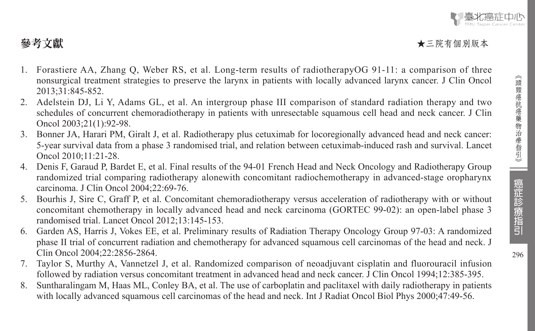## 参考文獻 → 本三院有個別版本 → 本三院有個別版本 → 本三院有個別版本 → 本三院有個別版本

- 1. Forastiere AA, Zhang Q, Weber RS, et al. Long-term results of radiotherapyOG 91-11: a comparison of three nonsurgical treatment strategies to preserve the larynx in patients with locally advanced larynx cancer. J Clin Oncol 2013;31:845-852.
- 2. Adelstein DJ, Li Y, Adams GL, et al. An intergroup phase III comparison of standard radiation therapy and two schedules of concurrent chemoradiotherapy in patients with unresectable squamous cell head and neck cancer. J Clin Oncol 2003;21(1):92-98.
- 3. Bonner JA, Harari PM, Giralt J, et al. Radiotherapy plus cetuximab for locoregionally advanced head and neck cancer: 5-year survival data from a phase 3 randomised trial, and relation between cetuximab-induced rash and survival. Lancet Oncol 2010;11:21-28.
- 4. Denis F, Garaud P, Bardet E, et al. Final results of the 94-01 French Head and Neck Oncology and Radiotherapy Group randomized trial comparing radiotherapy alonewith concomitant radiochemotherapy in advanced-stage oropharynx carcinoma. J Clin Oncol 2004;22:69-76.
- 5. Bourhis J, Sire C, Graff P, et al. Concomitant chemoradiotherapy versus acceleration of radiotherapy with or without concomitant chemotherapy in locally advanced head and neck carcinoma (GORTEC 99-02): an open-label phase 3 randomised trial. Lancet Oncol 2012;13:145-153.
- 6. Garden AS, Harris J, Vokes EE, et al. Preliminary results of Radiation Therapy Oncology Group 97-03: A randomized phase II trial of concurrent radiation and chemotherapy for advanced squamous cell carcinomas of the head and neck. J Clin Oncol 2004;22:2856-2864.
- 7. Taylor S, Murthy A, Vannetzel J, et al. Randomized comparison of neoadjuvant cisplatin and fluorouracil infusion followed by radiation versus concomitant treatment in advanced head and neck cancer. J Clin Oncol 1994;12:385-395.
- 8. Suntharalingam M, Haas ML, Conley BA, et al. The use of carboplatin and paclitaxel with daily radiotherapy in patients with locally advanced squamous cell carcinomas of the head and neck. Int J Radiat Oncol Biol Phys 2000;47:49-56.

癌症診療指引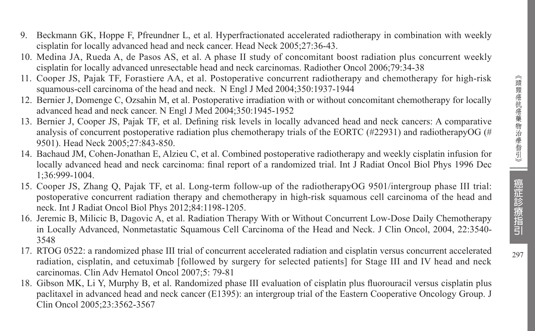- 9. Beckmann GK, Hoppe F, Pfreundner L, et al. Hyperfractionated accelerated radiotherapy in combination with weekly cisplatin for locally advanced head and neck cancer. Head Neck 2005;27:36-43.
- 10. Medina JA, Rueda A, de Pasos AS, et al. A phase II study of concomitant boost radiation plus concurrent weekly cisplatin for locally advanced unresectable head and neck carcinomas. Radiother Oncol 2006;79:34-38
- 11. Cooper JS, Pajak TF, Forastiere AA, et al. Postoperative concurrent radiotherapy and chemotherapy for high-risk squamous-cell carcinoma of the head and neck. N Engl J Med 2004;350:1937-1944
- 12. Bernier J, Domenge C, Ozsahin M, et al. Postoperative irradiation with or without concomitant chemotherapy for locally advanced head and neck cancer. N Engl J Med 2004;350:1945-1952
- 13. Bernier J, Cooper JS, Pajak TF, et al. Defining risk levels in locally advanced head and neck cancers: A comparative analysis of concurrent postoperative radiation plus chemotherapy trials of the EORTC (#22931) and radiotherapyOG (# 9501). Head Neck 2005;27:843-850.
- 14. Bachaud JM, Cohen-Jonathan E, Alzieu C, et al. Combined postoperative radiotherapy and weekly cisplatin infusion for locally advanced head and neck carcinoma: final report of a randomized trial. Int J Radiat Oncol Biol Phys 1996 Dec 1;36:999-1004.
- 15. Cooper JS, Zhang Q, Pajak TF, et al. Long-term follow-up of the radiotherapyOG 9501/intergroup phase III trial: postoperative concurrent radiation therapy and chemotherapy in high-risk squamous cell carcinoma of the head and neck. Int J Radiat Oncol Biol Phys 2012;84:1198-1205.
- 16. Jeremic B, Milicic B, Dagovic A, et al. Radiation Therapy With or Without Concurrent Low-Dose Daily Chemotherapy in Locally Advanced, Nonmetastatic Squamous Cell Carcinoma of the Head and Neck. J Clin Oncol, 2004, 22:3540- 3548
- 17. RTOG 0522: a randomized phase III trial of concurrent accelerated radiation and cisplatin versus concurrent accelerated radiation, cisplatin, and cetuximab [followed by surgery for selected patients] for Stage III and IV head and neck carcinomas. Clin Adv Hematol Oncol 2007;5: 79-81
- 18. Gibson MK, Li Y, Murphy B, et al. Randomized phase III evaluation of cisplatin plus fluorouracil versus cisplatin plus paclitaxel in advanced head and neck cancer (E1395): an intergroup trial of the Eastern Cooperative Oncology Group. J Clin Oncol 2005;23:3562-3567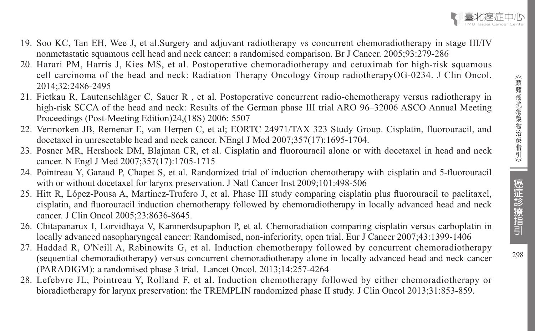

- 19. Soo KC, Tan EH, Wee J, et al.Surgery and adjuvant radiotherapy vs concurrent chemoradiotherapy in stage III/IV nonmetastatic squamous cell head and neck cancer: a randomised comparison. Br J Cancer. 2005;93:279-286
- 20. Harari PM, Harris J, Kies MS, et al. Postoperative chemoradiotherapy and cetuximab for high-risk squamous cell carcinoma of the head and neck: Radiation Therapy Oncology Group radiotherapyOG-0234. J Clin Oncol. 2014;32:2486-2495
- 21. Fietkau R, Lautenschläger C, Sauer R , et al. Postoperative concurrent radio-chemotherapy versus radiotherapy in high-risk SCCA of the head and neck: Results of the German phase III trial ARO 96–32006 ASCO Annual Meeting Proceedings (Post-Meeting Edition)24,(18S) 2006: 5507
- 22. Vermorken JB, Remenar E, van Herpen C, et al; EORTC 24971/TAX 323 Study Group. Cisplatin, fluorouracil, and docetaxel in unresectable head and neck cancer. NEngl J Med 2007;357(17):1695-1704.
- 23. Posner MR, Hershock DM, Blajman CR, et al. Cisplatin and fluorouracil alone or with docetaxel in head and neck cancer. N Engl J Med 2007;357(17):1705-1715
- 24. Pointreau Y, Garaud P, Chapet S, et al. Randomized trial of induction chemotherapy with cisplatin and 5-fluorouracil with or without docetaxel for larynx preservation. J Natl Cancer Inst 2009;101:498-506
- 25. Hitt R, López-Pousa A, Martínez-Trufero J, et al. Phase III study comparing cisplatin plus fluorouracil to paclitaxel, cisplatin, and fluorouracil induction chemotherapy followed by chemoradiotherapy in locally advanced head and neck cancer. J Clin Oncol 2005;23:8636-8645.
- 26. Chitapanarux I, Lorvidhaya V, Kamnerdsupaphon P, et al. Chemoradiation comparing cisplatin versus carboplatin in locally advanced nasopharyngeal cancer: Randomised, non-inferiority, open trial. Eur J Cancer 2007;43:1399-1406
- 27. Haddad R, O'Neill A, Rabinowits G, et al. Induction chemotherapy followed by concurrent chemoradiotherapy (sequential chemoradiotherapy) versus concurrent chemoradiotherapy alone in locally advanced head and neck cancer (PARADIGM): a randomised phase 3 trial. Lancet Oncol. 2013;14:257-4264
- 28. Lefebvre JL, Pointreau Y, Rolland F, et al. Induction chemotherapy followed by either chemoradiotherapy or bioradiotherapy for larynx preservation: the TREMPLIN randomized phase II study. J Clin Oncol 2013;31:853-859.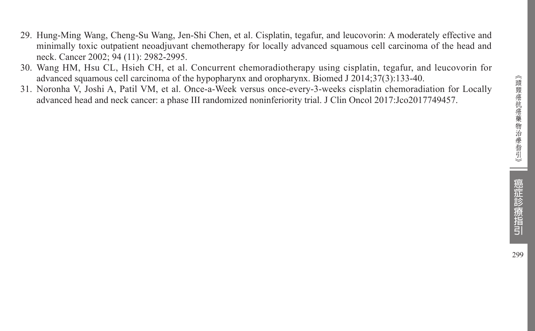《頭頸癌抗癌藥物治療指引》 (頭頸癌抗癌藥物治療指引》 | 癌症記念療指引 99

- 29. Hung-Ming Wang, Cheng-Su Wang, Jen-Shi Chen, et al. Cisplatin, tegafur, and leucovorin: A moderately effective and minimally toxic outpatient neoadjuvant chemotherapy for locally advanced squamous cell carcinoma of the head and neck. Cancer 2002; 94 (11): 2982-2995.
- 30. Wang HM, Hsu CL, Hsieh CH, et al. Concurrent chemoradiotherapy using cisplatin, tegafur, and leucovorin for advanced squamous cell carcinoma of the hypopharynx and oropharynx. Biomed J 2014;37(3):133-40.
- 31. Noronha V, Joshi A, Patil VM, et al. Once-a-Week versus once-every-3-weeks cisplatin chemoradiation for Locally advanced head and neck cancer: a phase III randomized noninferiority trial. J Clin Oncol 2017:Jco2017749457.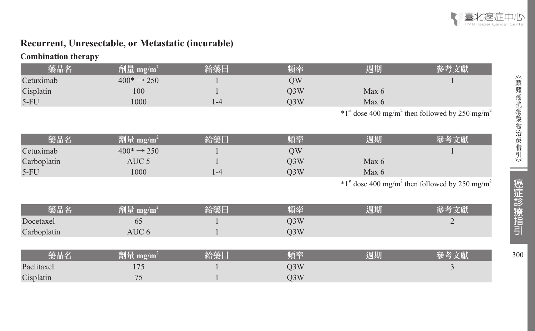

### **Recurrent, Unresectable, or Metastatic (incurable)**

| <b>Combination therapy</b> |  |
|----------------------------|--|
|----------------------------|--|

| 藥品名         | 劑量 mg/m <sup>2</sup>    | 給藥日     | 頻率               | 週期      | 參考文獻                                                                     |
|-------------|-------------------------|---------|------------------|---------|--------------------------------------------------------------------------|
| Cetuximab   | $400^* \rightarrow 250$ |         | QW               |         |                                                                          |
| Cisplatin   | 100                     |         | Q3W              | Max $6$ |                                                                          |
| $5-FU$      | 1000                    | $1 - 4$ | Q <sub>3</sub> W | Max 6   |                                                                          |
|             |                         |         |                  |         | $*1st$ dose 400 mg/m <sup>2</sup> then followed by 250 mg/m <sup>2</sup> |
| 藥品名         | 劑量 mg/m <sup>2</sup>    | 給藥日     | 頻率               | 週期      | 參考文獻                                                                     |
| Cetuximab   | $400^* \rightarrow 250$ |         | QW               |         |                                                                          |
| Carboplatin | AUC <sub>5</sub>        |         | Q <sub>3</sub> W | Max 6   |                                                                          |
| $5-FU$      | 1000                    | $1 - 4$ | Q <sub>3</sub> W | Max 6   |                                                                          |
|             |                         |         |                  |         | $*1st$ dose 400 mg/m <sup>2</sup> then followed by 250 mg/m <sup>2</sup> |
| 藥品名         | 劑量 mg/m <sup>2</sup>    | 給藥日     | 頻率               | 週期      | 參考文獻                                                                     |
| Docetaxel   | 65                      |         | Q3W              |         | $\overline{2}$                                                           |
| Carboplatin | AUC <sub>6</sub>        |         | Q <sub>3</sub> W |         |                                                                          |
|             |                         |         |                  |         |                                                                          |
| 藥品名         | 劑量 $mg/m^2$             | 給藥日     | 頻率               | 週期      | 參考文獻                                                                     |
| Paclitaxel  | 175                     |         | Q <sub>3</sub> W |         | 3                                                                        |
| Cisplatin   | 75                      |         | Q3W              |         |                                                                          |

300

 $\equiv$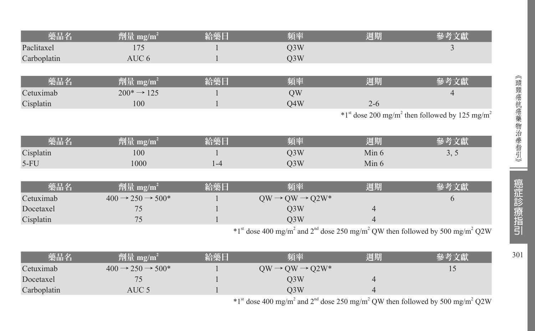| 藥品名         | 劑量 mg/m <sup>2</sup>                   | 給藥日     | 頻率                                                                                                                                         | 週期             | 參考文獻                                                                     |
|-------------|----------------------------------------|---------|--------------------------------------------------------------------------------------------------------------------------------------------|----------------|--------------------------------------------------------------------------|
| Paclitaxel  | 175                                    |         | Q3W                                                                                                                                        |                | 3                                                                        |
| Carboplatin | AUC 6                                  |         | Q3W                                                                                                                                        |                |                                                                          |
|             |                                        |         |                                                                                                                                            |                |                                                                          |
| 藥品名         | 劑量 mg/m <sup>2</sup>                   | 給藥日     | 頻率                                                                                                                                         | 週期             | 參考文獻                                                                     |
| Cetuximab   | $200^* \rightarrow 125$                |         | QW                                                                                                                                         |                |                                                                          |
| Cisplatin   | 100                                    |         | Q4W                                                                                                                                        | $2 - 6$        |                                                                          |
|             |                                        |         |                                                                                                                                            |                | $*1st$ dose 200 mg/m <sup>2</sup> then followed by 125 mg/m <sup>2</sup> |
|             |                                        |         |                                                                                                                                            |                |                                                                          |
| 藥品名         | 劑量 mg/m <sup>2</sup>                   | 給藥日     | 頻率                                                                                                                                         | 週期             | 參考文獻                                                                     |
| Cisplatin   | 100                                    |         | Q3W                                                                                                                                        | Min 6          | 3, 5                                                                     |
| $5-FU$      | 1000                                   | $1 - 4$ | Q <sub>3</sub> W                                                                                                                           | Min 6          |                                                                          |
|             |                                        |         |                                                                                                                                            |                |                                                                          |
| 藥品名         | 劑量 mg/m <sup>2</sup>                   | 給藥日     | 頻率                                                                                                                                         | 週期             | 參考文獻                                                                     |
| Cetuximab   | $400 \rightarrow 250 \rightarrow 500*$ |         | $QW \rightarrow QW \rightarrow Q2W^*$                                                                                                      |                | 6                                                                        |
| Docetaxel   | 75                                     |         | Q <sub>3</sub> W                                                                                                                           | 4              |                                                                          |
| Cisplatin   | 75                                     |         | Q <sub>3</sub> W                                                                                                                           | 4              |                                                                          |
|             |                                        |         | $*1$ <sup>st</sup> dose 400 mg/m <sup>2</sup> and 2 <sup>nd</sup> dose 250 mg/m <sup>2</sup> QW then followed by 500 mg/m <sup>2</sup> Q2W |                |                                                                          |
|             |                                        |         |                                                                                                                                            |                |                                                                          |
| 藥品名         | 劑量 mg/m <sup>2</sup>                   | 給藥日     | 頻率                                                                                                                                         | 週期             | 參考文獻                                                                     |
| Cetuximab   | $400 \rightarrow 250 \rightarrow 500*$ |         | $QW \rightarrow QW \rightarrow Q2W^*$                                                                                                      |                | 15                                                                       |
| Docetaxel   | 75                                     |         | Q3W                                                                                                                                        | $\overline{4}$ |                                                                          |

Carboplatin AUC 5 1 Q3W 4

 $*1$ <sup>st</sup> dose 400 mg/m<sup>2</sup> and 2<sup>nd</sup> dose 250 mg/m<sup>2</sup> QW then followed by 500 mg/m<sup>2</sup> Q2W

301

 $\sim$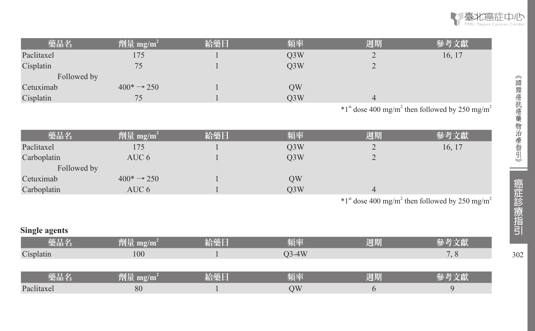

| 藥品名         | 劑量 mg/m <sup>2</sup>    | 給藥日 | 頻率  | 週期     | 參考文獻   |
|-------------|-------------------------|-----|-----|--------|--------|
| Paclitaxel  | 175                     |     | Q3W | ∠      | 16, 17 |
| Cisplatin   | 75                      |     | O3W | ∼      |        |
| Followed by |                         |     |     |        |        |
| Cetuximab   | $400^* \rightarrow 250$ |     | OW  |        |        |
| Cisplatin   | 75                      |     | O3W |        |        |
|             |                         |     |     | $\sim$ |        |

 $*1<sup>st</sup>$  dose 400 mg/m<sup>2</sup> then followed by 250 mg/m<sup>2</sup>

| 藥品名         | 劑量 mg/m <sup>2</sup>    | 給藥日 | 頻率  | 週期 | 參考文獻                                                                                                                                                                                                                           |
|-------------|-------------------------|-----|-----|----|--------------------------------------------------------------------------------------------------------------------------------------------------------------------------------------------------------------------------------|
| Paclitaxel  | 175                     |     | Q3W | ∠  | 16, 17                                                                                                                                                                                                                         |
| Carboplatin | AUC 6                   |     | O3W | ∽  |                                                                                                                                                                                                                                |
| Followed by |                         |     |     |    |                                                                                                                                                                                                                                |
| Cetuximab   | $400^* \rightarrow 250$ |     | QW  |    |                                                                                                                                                                                                                                |
| Carboplatin | AUC 6                   |     | O3W |    |                                                                                                                                                                                                                                |
|             |                         |     |     |    | representative contract the contract of the contract of the contract of the contract of the contract of the contract of the contract of the contract of the contract of the contract of the contract of the contract of the co |

 $*1<sup>st</sup>$  dose 400 mg/m<sup>2</sup> then followed by 250 mg/m<sup>2</sup>

| <b>Single agents</b> |                      |     |         |    |      |
|----------------------|----------------------|-----|---------|----|------|
| 藥品名                  | 劑量 mg/m <sup>2</sup> | 給藥日 | 頻率      | 週期 |      |
| Cisplatin            | 100                  |     | $O3-4W$ |    | 7, 8 |
|                      |                      |     |         |    |      |
| 藥品名                  | 劑量 mg/m <sup>2</sup> | 給藥日 | 頻率      | 週期 | 參考文獻 |
| Paclitaxel           | 80                   |     | OW      |    |      |

 $\hspace{0.05cm}$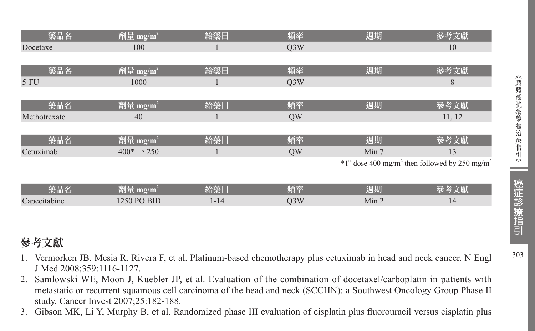| 藥品名          | $\boxed{\frac{m}{2}}$ mg/m <sup>2</sup> | 給藥日      | 頻率               | 週期               | 參考文獻                                                                     |
|--------------|-----------------------------------------|----------|------------------|------------------|--------------------------------------------------------------------------|
| Docetaxel    | 100                                     |          | Q <sub>3</sub> W |                  | 10                                                                       |
|              |                                         |          |                  |                  |                                                                          |
| 藥品名          | 劑量 mg/m <sup>2</sup>                    | 給藥日      | 頻率               | 週期               | 參考文獻                                                                     |
| $5-FU$       | 1000                                    |          | Q <sub>3</sub> W |                  | 8                                                                        |
|              |                                         |          |                  |                  |                                                                          |
| 藥品名          | $ \hat{p}$ [] 量 mg/m <sup>2</sup>       | 給藥日      | 頻率               | 週期               | 參考文獻                                                                     |
| Methotrexate | 40                                      |          | QW               |                  | 11, 12                                                                   |
|              |                                         |          |                  |                  |                                                                          |
| 藥品名          | 劑量 mg/m <sup>2</sup>                    | 給藥日      | 頻率               | 週期               | 參考文獻                                                                     |
| Cetuximab    | $400^* \rightarrow 250$                 |          | QW               | Min 7            | 13                                                                       |
|              |                                         |          |                  |                  | $*1st$ dose 400 mg/m <sup>2</sup> then followed by 250 mg/m <sup>2</sup> |
|              |                                         |          |                  |                  |                                                                          |
| 藥品名          | 劑量 mg/m <sup>2</sup>                    | 給藥日      | 頻率               | 週期               | 參考文獻                                                                     |
| Capecitabine | 1250 PO BID                             | $1 - 14$ | Q <sub>3</sub> W | Min <sub>2</sub> | 14                                                                       |

## 參考文獻

- 1. Vermorken JB, Mesia R, Rivera F, et al. Platinum-based chemotherapy plus cetuximab in head and neck cancer. N Engl J Med 2008;359:1116-1127.
- 2. Samlowski WE, Moon J, Kuebler JP, et al. Evaluation of the combination of docetaxel/carboplatin in patients with metastatic or recurrent squamous cell carcinoma of the head and neck (SCCHN): a Southwest Oncology Group Phase II study. Cancer Invest 2007;25:182-188.
- 3. Gibson MK, Li Y, Murphy B, et al. Randomized phase III evaluation of cisplatin plus fluorouracil versus cisplatin plus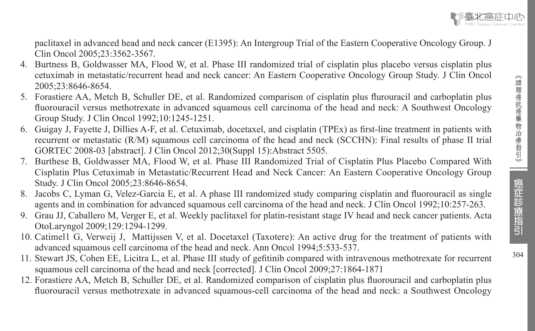$304$ 

paclitaxel in advanced head and neck cancer (E1395): An Intergroup Trial of the Eastern Cooperative Oncology Group. J Clin Oncol 2005;23:3562-3567.

- 4. Burtness B, Goldwasser MA, Flood W, et al. Phase III randomized trial of cisplatin plus placebo versus cisplatin plus cetuximab in metastatic/recurrent head and neck cancer: An Eastern Cooperative Oncology Group Study. J Clin Oncol 2005;23:8646-8654.
- 5. Forastiere AA, Metch B, Schuller DE, et al. Randomized comparison of cisplatin plus flurouracil and carboplatin plus fluorouracil versus methotrexate in advanced squamous cell carcinoma of the head and neck: A Southwest Oncology Group Study. J Clin Oncol 1992;10:1245-1251.
- 6. Guigay J, Fayette J, Dillies A-F, et al. Cetuximab, docetaxel, and cisplatin (TPEx) as first-line treatment in patients with recurrent or metastatic (R/M) squamous cell carcinoma of the head and neck (SCCHN): Final results of phase II trial GORTEC 2008-03 [abstract]. J Clin Oncol 2012;30(Suppl 15):Abstract 5505.
- 7. Burthese B, Goldwasser MA, Flood W, et al. Phase III Randomized Trial of Cisplatin Plus Placebo Compared With Cisplatin Plus Cetuximab in Metastatic/Recurrent Head and Neck Cancer: An Eastern Cooperative Oncology Group Study. J Clin Oncol 2005;23:8646-8654.
- 8. Jacobs C, Lyman G, Velez-Garcia E, et al. A phase III randomized study comparing cisplatin and fluorouracil as single agents and in combination for advanced squamous cell carcinoma of the head and neck. J Clin Oncol 1992;10:257-263.
- 9. Grau JJ, Caballero M, Verger E, et al. Weekly paclitaxel for platin-resistant stage IV head and neck cancer patients. Acta OtoLaryngol 2009;129:1294-1299.
- 10. Catimel1 G, Verweij J, Mattijssen V, et al. Docetaxel (Taxotere): An active drug for the treatment of patients with advanced squamous cell carcinoma of the head and neck. Ann Oncol 1994;5:533-537.
- 11. Stewart JS, Cohen EE, Licitra L, et al. Phase III study of gefitinib compared with intravenous methotrexate for recurrent squamous cell carcinoma of the head and neck [corrected]. J Clin Oncol 2009;27:1864-1871
- 12. Forastiere AA, Metch B, Schuller DE, et al. Randomized comparison of cisplatin plus fluorouracil and carboplatin plus fluorouracil versus methotrexate in advanced squamous-cell carcinoma of the head and neck: a Southwest Oncology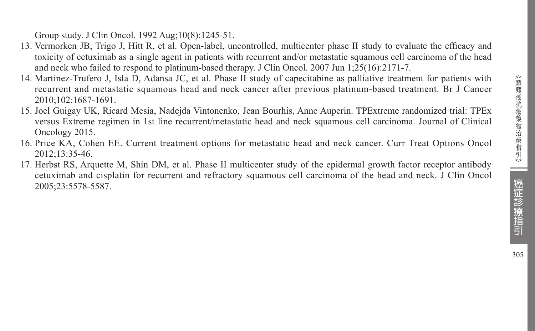Group study. J Clin Oncol. 1992 Aug;10(8):1245-51.

- 13. Vermorken JB, Trigo J, Hitt R, et al. Open-label, uncontrolled, multicenter phase II study to evaluate the efficacy and toxicity of cetuximab as a single agent in patients with recurrent and/or metastatic squamous cell carcinoma of the head and neck who failed to respond to platinum-based therapy. J Clin Oncol. 2007 Jun 1;25(16):2171-7.
- 14. Martinez-Trufero J, Isla D, Adansa JC, et al. Phase II study of capecitabine as palliative treatment for patients with recurrent and metastatic squamous head and neck cancer after previous platinum-based treatment. Br J Cancer 2010;102:1687-1691.
- 15. Joel Guigay UK, Ricard Mesia, Nadejda Vintonenko, Jean Bourhis, Anne Auperin. TPExtreme randomized trial: TPEx versus Extreme regimen in 1st line recurrent/metastatic head and neck squamous cell carcinoma. Journal of Clinical Oncology 2015.
- 16. Price KA, Cohen EE. Current treatment options for metastatic head and neck cancer. Curr Treat Options Oncol 2012;13:35-46.
- 17. Herbst RS, Arquette M, Shin DM, et al. Phase II multicenter study of the epidermal growth factor receptor antibody cetuximab and cisplatin for recurrent and refractory squamous cell carcinoma of the head and neck. J Clin Oncol 2005;23:5578-5587.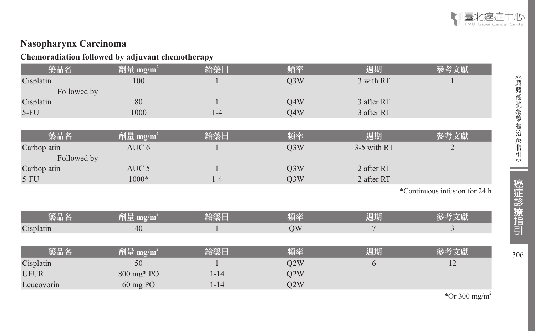

306︽頭頸癌抗癌藥物治療指引︾

癌症診療指引

306

i<br>Listopa

《頭頸癌抗癌藥物治療指引》

### **Nasopharynx Carcinoma**

### **Chemoradiation followed by adjuvant chemotherapy**

| 藥品名         | 劑量 mg/m <sup>2</sup> | 給藥日      | 頻率               | 週期          | 參考文獻                          |
|-------------|----------------------|----------|------------------|-------------|-------------------------------|
| Cisplatin   | 100                  |          | Q <sub>3</sub> W | 3 with RT   |                               |
| Followed by |                      |          |                  |             |                               |
| Cisplatin   | 80                   |          | Q4W              | 3 after RT  |                               |
| $5-FU$      | 1000                 | $1 - 4$  | Q4W              | 3 after RT  |                               |
|             |                      |          |                  |             |                               |
| 藥品名         | 劑量 mg/m <sup>2</sup> | 給藥日      | 頻率               | 週期          | 參考文獻                          |
| Carboplatin | AUC 6                |          | Q <sub>3</sub> W | 3-5 with RT | $\overline{2}$                |
| Followed by |                      |          |                  |             |                               |
| Carboplatin | AUC <sub>5</sub>     |          | Q <sub>3</sub> W | 2 after RT  |                               |
| $5-FU$      | 1000*                | $1-4$    | Q <sub>3</sub> W | 2 after RT  |                               |
|             |                      |          |                  |             | *Continuous infusion for 24 h |
|             |                      |          |                  |             |                               |
| 藥品名         | 劑量 mg/m <sup>2</sup> | 給藥日      | 頻率               | 週期          | 參考文獻                          |
| Cisplatin   | 40                   |          | QW               | 7           | 3                             |
|             |                      |          |                  |             |                               |
| 藥品名         | 劑量 mg/m <sup>2</sup> | 給藥日      | 頻率               | 週期          | 參考文獻                          |
| Cisplatin   | 50                   |          | Q2W              | 6           | 12                            |
| <b>UFUR</b> | 800 mg* PO           | $1 - 14$ | Q2W              |             |                               |
| Leucovorin  | 60 mg PO             | $1 - 14$ | Q2W              |             |                               |

\*Or 300 mg/m<sup>2</sup>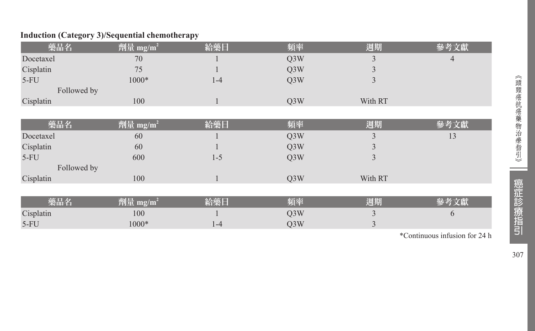### **Induction (Category 3)/Sequential chemotherapy**

| 藥品名         | 劑量 mg/m <sup>2</sup> | 給藥日     | 頻率               | 週期      | 參考文獻 |
|-------------|----------------------|---------|------------------|---------|------|
| Docetaxel   | 70                   |         | Q <sub>3</sub> W | 3       | 4    |
| Cisplatin   | 75                   |         | Q <sub>3</sub> W | 3       |      |
| $5-FU$      | 1000*                | $1 - 4$ | Q3W              | 3       |      |
| Followed by |                      |         |                  |         |      |
| Cisplatin   | 100                  |         | Q3W              | With RT |      |
|             |                      |         |                  |         |      |
| 藥品名         | 劑量 mg/m <sup>2</sup> | 給藥日     | 頻率               | 週期      | 參考文獻 |
| Docetaxel   | 60                   |         | Q <sub>3</sub> W | 3       | 13   |
| Cisplatin   | 60                   |         | Q <sub>3</sub> W | Ć       |      |
| $5-FU$      | 600                  | $1 - 5$ | Q <sub>3</sub> W | 3       |      |
| Followed by |                      |         |                  |         |      |
| Cisplatin   | 100                  |         | Q <sub>3</sub> W | With RT |      |
|             |                      |         |                  |         |      |
| 藥品名         | 劑量 mg/m <sup>2</sup> | 給藥日     | 頻率               | 週期      | 參考文獻 |
| Cisplatin   | 100                  |         | Q <sub>3</sub> W | 3       | 6    |
| $5-FU$      | 1000*                | $1 - 4$ | Q <sub>3</sub> W | 3       |      |

\*Continuous infusion for 24 h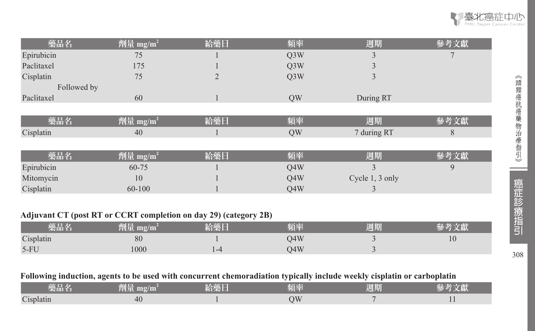| 藥品名         | 劑量 mg/m <sup>2</sup> | 給藥日 | 頻率               | 週期              | 參考文獻 |
|-------------|----------------------|-----|------------------|-----------------|------|
| Epirubicin  | 75                   |     | Q <sub>3</sub> W |                 |      |
| Paclitaxel  | 175                  |     | Q <sub>3</sub> W |                 |      |
| Cisplatin   | 75                   |     | Q <sub>3</sub> W |                 |      |
| Followed by |                      |     |                  |                 |      |
| Paclitaxel  | 60                   |     | QW               | During RT       |      |
|             |                      |     |                  |                 |      |
| 藥品名         | 劑量 mg/m <sup>2</sup> | 給藥日 | 頻率               | 週期              | 參考文獻 |
| Cisplatin   | 40                   |     | QW               | 7 during RT     | 8    |
|             |                      |     |                  |                 |      |
| 藥品名         | 劑量 mg/m <sup>2</sup> | 給藥日 | 頻率               | 週期              | 參考文獻 |
| Epirubicin  | 60-75                |     | Q4W              |                 | 9    |
| Mitomycin   | 10                   |     | Q4W              | Cycle 1, 3 only |      |
| Cisplatin   | 60-100               |     | O4W              | 3               |      |

### **Adjuvant CT (post RT or CCRT completion on day 29) (category 2B)**

| 藥品名       | 劑量<br>mg/m | 給藥厂 | 頻率  | 週期 |    |
|-----------|------------|-----|-----|----|----|
| Cisplatin | 80         |     | 34W |    | 10 |
| $5-FU$    | 1000       |     | )4W |    |    |

#### **Following induction, agents to be used with concurrent chemoradiation typically include weekly cisplatin or carboplatin**

| ______<br>栄血石        | $\mathbf{m}\mathbf{g}/\mathbf{m}$<br>EN L | 17 K<br>AND 2 | <b>TELEVIS</b><br><b>THE BANK</b><br>___ | 週期 | ______ |
|----------------------|-------------------------------------------|---------------|------------------------------------------|----|--------|
| $\sim$<br>s isplatin | -40                                       |               |                                          |    |        |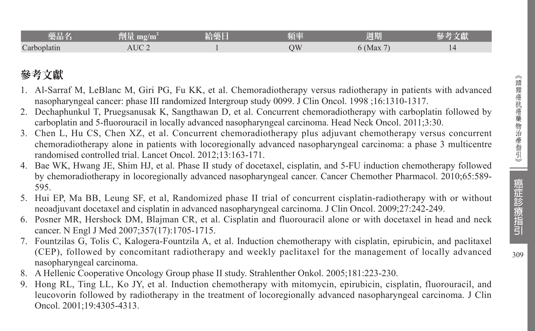309

| 彩面1                       | <b>TANK AND STATE</b><br>$\mathbf{m}$ g/ $\mathbf{m}$<br>≌ਘ∎ | VA.<br>an s | The second control<br>儿子 | 1222142<br>周期                   |  |
|---------------------------|--------------------------------------------------------------|-------------|--------------------------|---------------------------------|--|
| $\sqrt{ }$<br>Carboplatın | UС                                                           |             | NС                       | $\overline{\phantom{a}}$<br>Max |  |

## 參考文獻

- 1. Al-Sarraf M, LeBlanc M, Giri PG, Fu KK, et al. Chemoradiotherapy versus radiotherapy in patients with advanced nasopharyngeal cancer: phase III randomized Intergroup study 0099. J Clin Oncol. 1998 ;16:1310-1317.
- 2. Dechaphunkul T, Pruegsanusak K, Sangthawan D, et al. Concurrent chemoradiotherapy with carboplatin followed by carboplatin and 5-fluorouracil in locally advanced nasopharyngeal carcinoma. Head Neck Oncol. 2011;3:30.
- 3. Chen L, Hu CS, Chen XZ, et al. Concurrent chemoradiotherapy plus adjuvant chemotherapy versus concurrent chemoradiotherapy alone in patients with locoregionally advanced nasopharyngeal carcinoma: a phase 3 multicentre randomised controlled trial. Lancet Oncol. 2012;13:163-171.
- 4. Bae WK, Hwang JE, Shim HJ, et al. Phase II study of docetaxel, cisplatin, and 5-FU induction chemotherapy followed by chemoradiotherapy in locoregionally advanced nasopharyngeal cancer. Cancer Chemother Pharmacol. 2010;65:589- 595.
- 5. Hui EP, Ma BB, Leung SF, et al, Randomized phase II trial of concurrent cisplatin-radiotherapy with or without neoadjuvant docetaxel and cisplatin in advanced nasopharyngeal carcinoma. J Clin Oncol. 2009;27:242-249.
- 6. Posner MR, Hershock DM, Blajman CR, et al. Cisplatin and fluorouracil alone or with docetaxel in head and neck cancer. N Engl J Med 2007;357(17):1705-1715.
- 7. Fountzilas G, Tolis C, Kalogera-Fountzila A, et al. Induction chemotherapy with cisplatin, epirubicin, and paclitaxel (CEP), followed by concomitant radiotherapy and weekly paclitaxel for the management of locally advanced nasopharyngeal carcinoma.
- 8. A Hellenic Cooperative Oncology Group phase II study. Strahlenther Onkol. 2005;181:223-230.
- 9. Hong RL, Ting LL, Ko JY, et al. Induction chemotherapy with mitomycin, epirubicin, cisplatin, fluorouracil, and leucovorin followed by radiotherapy in the treatment of locoregionally advanced nasopharyngeal carcinoma. J Clin Oncol. 2001;19:4305-4313.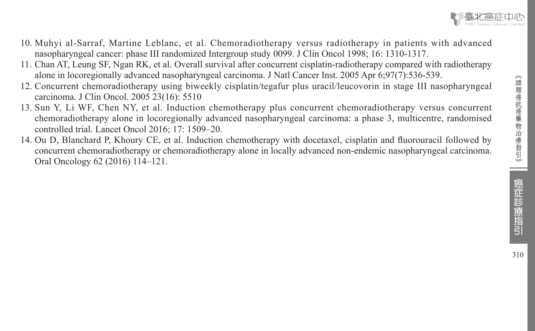

- 10. Muhyi al-Sarraf, Martine Leblanc, et al. Chemoradiotherapy versus radiotherapy in patients with advanced nasopharyngeal cancer: phase III randomized Intergroup study 0099. J Clin Oncol 1998; 16: 1310-1317.
- 11. Chan AT, Leung SF, Ngan RK, et al. Overall survival after concurrent cisplatin-radiotherapy compared with radiotherapy alone in locoregionally advanced nasopharyngeal carcinoma. J Natl Cancer Inst. 2005 Apr 6;97(7):536-539.
- 12. Concurrent chemoradiotherapy using biweekly cisplatin/tegafur plus uracil/leucovorin in stage III nasopharyngeal carcinoma. J Clin Oncol. 2005 23(16): 5510
- 13. Sun Y, Li WF, Chen NY, et al. Induction chemotherapy plus concurrent chemoradiotherapy versus concurrent chemoradiotherapy alone in locoregionally advanced nasopharyngeal carcinoma: a phase 3, multicentre, randomised controlled trial. Lancet Oncol 2016; 17: 1509–20.
- 14. Ou D, Blanchard P, Khoury CE, et al. Induction chemotherapy with docetaxel, cisplatin and fluorouracil followed by concurrent chemoradiotherapy or chemoradiotherapy alone in locally advanced non-endemic nasopharyngeal carcinoma. Oral Oncology 62 (2016) 114–121.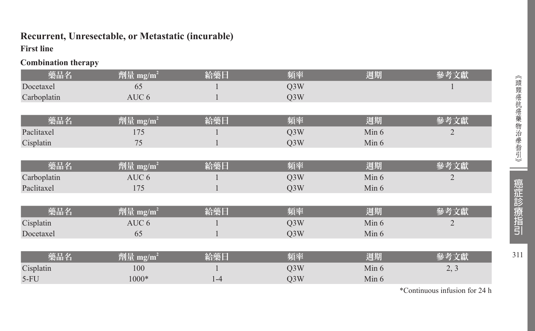## **Recurrent, Unresectable, or Metastatic (incurable)**

### **First line**

**Combination therapy**

| 藥品名         | 劑量 mg/m <sup>2</sup> | 給藥日     | 頻率               | 週期      | 參考文獻           |
|-------------|----------------------|---------|------------------|---------|----------------|
| Docetaxel   | 65                   |         | Q <sub>3</sub> W |         |                |
| Carboplatin | AUC <sub>6</sub>     |         | Q <sub>3</sub> W |         |                |
|             |                      |         |                  |         |                |
| 藥品名         | 劑量 mg/m <sup>2</sup> | 給藥日     | 頻率               | 週期      | 參考文獻           |
| Paclitaxel  | 175                  |         | Q <sub>3</sub> W | Min 6   | 2              |
| Cisplatin   | 75                   |         | Q <sub>3</sub> W | Min $6$ |                |
|             |                      |         |                  |         |                |
| 藥品名         | 劑量 mg/m <sup>2</sup> | 給藥日     | 頻率               | 週期      | 參考文獻           |
| Carboplatin | AUC <sub>6</sub>     |         | Q <sub>3</sub> W | Min $6$ | $\overline{2}$ |
| Paclitaxel  | 175                  |         | Q <sub>3</sub> W | Min 6   |                |
|             |                      |         |                  |         |                |
| 藥品名         | 劑量 mg/m <sup>2</sup> | 給藥日     | 頻率               | 週期      | 參考文獻           |
| Cisplatin   | AUC <sub>6</sub>     |         | Q <sub>3</sub> W | Min 6   | $\overline{2}$ |
| Docetaxel   | 65                   |         | Q <sub>3</sub> W | Min 6   |                |
|             |                      |         |                  |         |                |
| 藥品名         | 劑量 mg/m <sup>2</sup> | 給藥日     | 頻率               | 週期      | 參考文獻           |
| Cisplatin   | 100                  |         | Q <sub>3</sub> W | Min $6$ | 2, 3           |
| $5-FU$      | 1000*                | $1 - 4$ | O3W              | Min $6$ |                |
|             |                      |         |                  |         |                |

311

\*Continuous infusion for 24 h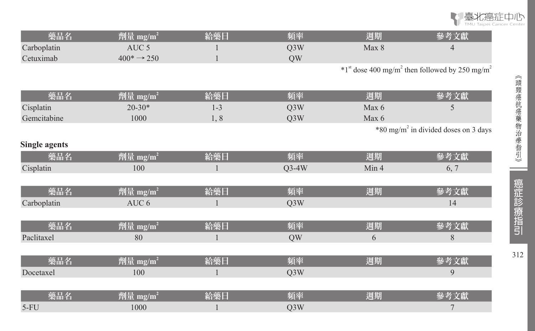

| 藥品名                  | 劑量 mg/m <sup>2</sup>    | 給藥日     | 頻率               | 週期    | 參考文獻                                                                     |
|----------------------|-------------------------|---------|------------------|-------|--------------------------------------------------------------------------|
| Carboplatin          | AUC <sub>5</sub>        |         | Q3W              | Max 8 | $\overline{4}$                                                           |
| Cetuximab            | $400^* \rightarrow 250$ |         | QW               |       |                                                                          |
|                      |                         |         |                  |       | $*1st$ dose 400 mg/m <sup>2</sup> then followed by 250 mg/m <sup>2</sup> |
|                      |                         |         |                  |       |                                                                          |
| 藥品名                  | 劑量 mg/m <sup>2</sup>    | 給藥日     | 頻率               | 週期    | 參考文獻                                                                     |
| Cisplatin            | $20 - 30*$              | $1 - 3$ | Q3W              | Max 6 | 5                                                                        |
| Gemcitabine          | 1000                    | 1, 8    | Q3W              | Max 6 |                                                                          |
|                      |                         |         |                  |       | *80 mg/m <sup>2</sup> in divided doses on 3 days                         |
| <b>Single agents</b> |                         |         |                  |       |                                                                          |
| 藥品名                  | 劑量 mg/m <sup>2</sup>    | 給藥日     | 頻率               | 週期    | 參考文獻                                                                     |
| Cisplatin            | 100                     |         | $Q3-4W$          | Min 4 | 6, 7                                                                     |
|                      |                         |         |                  |       |                                                                          |
| 藥品名                  | 劑量 mg/m <sup>2</sup>    | 給藥日     | 頻率               | 週期    | 參考文獻                                                                     |
| Carboplatin          | AUC <sub>6</sub>        |         | Q3W              |       | 14                                                                       |
|                      |                         |         |                  |       |                                                                          |
| 藥品名                  | 劑量 mg/m <sup>2</sup>    | 給藥日     | 頻率               | 週期    | 參考文獻                                                                     |
| Paclitaxel           | 80                      |         | QW               | 6     | 8                                                                        |
|                      |                         |         |                  |       |                                                                          |
| 藥品名                  | 劑量 mg/m <sup>2</sup>    | 給藥日     | 頻率               | 週期    | 參考文獻                                                                     |
| Docetaxel            | 100                     |         | O <sub>3</sub> W |       | 9                                                                        |
|                      |                         |         |                  |       |                                                                          |
| 藥品名                  | 劑量 mg/m <sup>2</sup>    | 給藥日     | 頻率               | 週期    | 參考文獻                                                                     |
| $5-FU$               | 1000                    |         | Q3W              |       | 7                                                                        |

 $\equiv$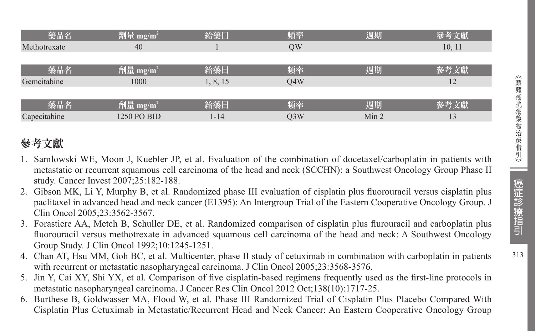| 藥品名          | 劑量 mg/m <sup>2</sup> | 給藥日      | 頻率               | 週期               | 參考文獻   |
|--------------|----------------------|----------|------------------|------------------|--------|
| Methotrexate | 40                   |          | OW               |                  | 10, 11 |
|              |                      |          |                  |                  |        |
| 藥品名          | 劑量 mg/m <sup>2</sup> | 給藥日      | 頻率               | 週期               | 參考文獻   |
| Gemcitabine  | 1000                 | 1, 8, 15 | O4W              |                  | 12     |
|              |                      |          |                  |                  |        |
| 藥品名          | 劑量 mg/m <sup>2</sup> | 給藥日      | 頻率               | 週期               | 參考文獻   |
| Capecitabine | 1250 PO BID          | 1-14     | Q <sub>3</sub> W | Min <sub>2</sub> | 13     |

## 參考文獻

- 1. Samlowski WE, Moon J, Kuebler JP, et al. Evaluation of the combination of docetaxel/carboplatin in patients with metastatic or recurrent squamous cell carcinoma of the head and neck (SCCHN): a Southwest Oncology Group Phase II study. Cancer Invest 2007;25:182-188.
- 2. Gibson MK, Li Y, Murphy B, et al. Randomized phase III evaluation of cisplatin plus fluorouracil versus cisplatin plus paclitaxel in advanced head and neck cancer (E1395): An Intergroup Trial of the Eastern Cooperative Oncology Group. J Clin Oncol 2005;23:3562-3567.
- 3. Forastiere AA, Metch B, Schuller DE, et al. Randomized comparison of cisplatin plus flurouracil and carboplatin plus fluorouracil versus methotrexate in advanced squamous cell carcinoma of the head and neck: A Southwest Oncology Group Study. J Clin Oncol 1992;10:1245-1251.
- 4. Chan AT, Hsu MM, Goh BC, et al. Multicenter, phase II study of cetuximab in combination with carboplatin in patients with recurrent or metastatic nasopharyngeal carcinoma. J Clin Oncol 2005;23:3568-3576.
- 5. Jin Y, Cai XY, Shi YX, et al. Comparison of five cisplatin-based regimens frequently used as the first-line protocols in metastatic nasopharyngeal carcinoma. J Cancer Res Clin Oncol 2012 Oct;138(10):1717-25.
- 6. Burthese B, Goldwasser MA, Flood W, et al. Phase III Randomized Trial of Cisplatin Plus Placebo Compared With Cisplatin Plus Cetuximab in Metastatic/Recurrent Head and Neck Cancer: An Eastern Cooperative Oncology Group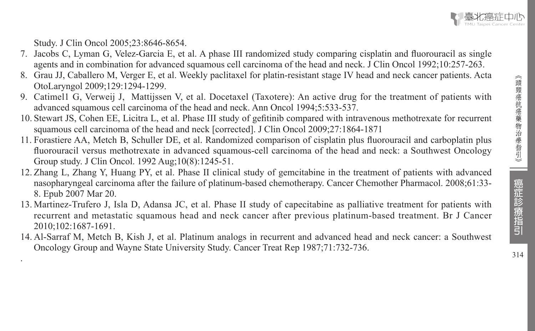

Study. J Clin Oncol 2005;23:8646-8654.

.

- 7. Jacobs C, Lyman G, Velez-Garcia E, et al. A phase III randomized study comparing cisplatin and fluorouracil as single agents and in combination for advanced squamous cell carcinoma of the head and neck. J Clin Oncol 1992;10:257-263.
- 8. Grau JJ, Caballero M, Verger E, et al. Weekly paclitaxel for platin-resistant stage IV head and neck cancer patients. Acta OtoLaryngol 2009;129:1294-1299.
- 9. Catimel1 G, Verweij J, Mattijssen V, et al. Docetaxel (Taxotere): An active drug for the treatment of patients with advanced squamous cell carcinoma of the head and neck. Ann Oncol 1994;5:533-537.
- 10. Stewart JS, Cohen EE, Licitra L, et al. Phase III study of gefitinib compared with intravenous methotrexate for recurrent squamous cell carcinoma of the head and neck [corrected]. J Clin Oncol 2009;27:1864-1871
- 11. Forastiere AA, Metch B, Schuller DE, et al. Randomized comparison of cisplatin plus fluorouracil and carboplatin plus fluorouracil versus methotrexate in advanced squamous-cell carcinoma of the head and neck: a Southwest Oncology Group study. J Clin Oncol. 1992 Aug;10(8):1245-51.
- 12. Zhang L, Zhang Y, Huang PY, et al. Phase II clinical study of gemcitabine in the treatment of patients with advanced nasopharyngeal carcinoma after the failure of platinum-based chemotherapy. Cancer Chemother Pharmacol. 2008;61:33- 8. Epub 2007 Mar 20.
- 13. Martinez-Trufero J, Isla D, Adansa JC, et al. Phase II study of capecitabine as palliative treatment for patients with recurrent and metastatic squamous head and neck cancer after previous platinum-based treatment. Br J Cancer 2010;102:1687-1691.
- 14. Al-Sarraf M, Metch B, Kish J, et al. Platinum analogs in recurrent and advanced head and neck cancer: a Southwest Oncology Group and Wayne State University Study. Cancer Treat Rep 1987;71:732-736.

癌症診療指引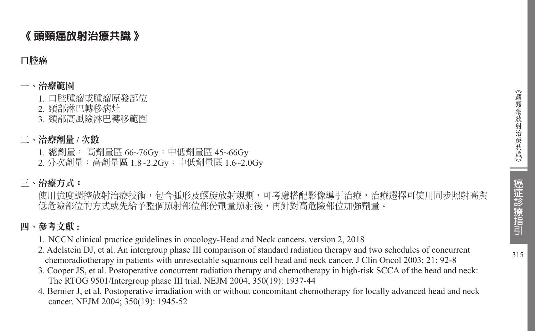## 《 頭頸癌放射治療共識 》

### 口腔癌

### 一、治療範圍

- 1. 口腔腫瘤或腫瘤原發部位
- 2. 頸部淋巴轉移病灶
- 3. 頸部高風險淋巴轉移範圍

## 二、治療劑量 **/** 次數

- 1. 總劑量: 高劑量區 66~76Gy;中低劑量區 45~66Gy
- 2. 分次劑量:高劑量區 1.8~2.2Gy;中低劑量區 1.6~2.0Gy

## 三、治療方式:

使用強度調控放射治療技術,包含弧形及螺旋放射規劃,可考慮搭配影像導引治療,治療選擇可使用同步照射高與 低危險部位的方式或先給予整個照射部位部份劑量照射後,再針對高危險部位加強劑量。

## 四、參考文獻 **:**

- 1. NCCN clinical practice guidelines in oncology-Head and Neck cancers. version 2, 2018
- 2. Adelstein DJ, et al. An intergroup phase III comparison of standard radiation therapy and two schedules of concurrent chemoradiotherapy in patients with unresectable squamous cell head and neck cancer. J Clin Oncol 2003; 21: 92-8
- 3. Cooper JS, et al. Postoperative concurrent radiation therapy and chemotherapy in high-risk SCCA of the head and neck: The RTOG 9501/Intergroup phase III trial. NEJM 2004; 350(19): 1937-44
- 4. Bernier J, et al. Postoperative irradiation with or without concomitant chemotherapy for locally advanced head and neck cancer. NEJM 2004; 350(19): 1945-52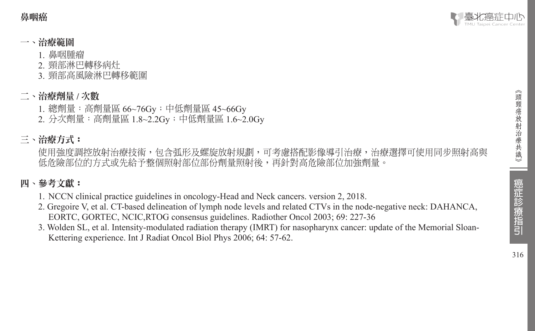鼻咽癌



### 一、治療範圍

- 1. 鼻咽腫瘤
- 2. 頸部淋巴轉移病灶
- 3. 頸部高風險淋巴轉移範圍

### 二、治療劑量 **/** 次數

1. 總劑量:高劑量區 66~76Gy;中低劑量區 45~66Gy 2. 分次劑量:高劑量區 1.8~2.2Gy;中低劑量區 1.6~2.0Gy

### 三、治療方式:

使用強度調控放射治療技術,包含弧形及螺旋放射規劃,可考慮搭配影像導引治療,治療選擇可使用同步照射高與 低危險部位的方式或先給予整個照射部位部份劑量照射後,再針對高危險部位加強劑量。

### 四、參考文獻:

- 1. NCCN clinical practice guidelines in oncology-Head and Neck cancers. version 2, 2018.
- 2. Gregoire V, et al. CT-based delineation of lymph node levels and related CTVs in the node-negative neck: DAHANCA, EORTC, GORTEC, NCIC,RTOG consensus guidelines. Radiother Oncol 2003; 69: 227-36
- 3. Wolden SL, et al. Intensity-modulated radiation therapy (IMRT) for nasopharynx cancer: update of the Memorial Sloan-Kettering experience. Int J Radiat Oncol Biol Phys 2006; 64: 57-62.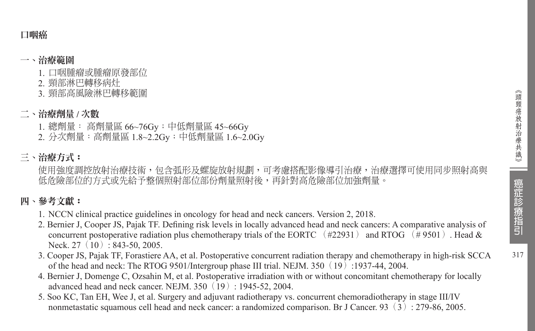### 口咽癌

### 一、治療範圍

- 1. 口咽腫瘤或腫瘤原發部位
- 2. 頸部淋巴轉移病灶
- 3. 頸部高風險淋巴轉移範圍

### 二、治療劑量 **/** 次數

- 1. 總劑量: 高劑量區 66~76Gy;中低劑量區 45~66Gy
- 2. 分次劑量:高劑量區 1.8~2.2Gy;中低劑量區 1.6~2.0Gy

## 三、治療方式:

使用強度調控放射治療技術,包含弧形及螺旋放射規劃,可考慮搭配影像導引治療,治療選擇可使用同步照射高與 低危險部位的方式或先給予整個照射部位部份劑量照射後,再針對高危險部位加強劑量。

## 四、參考文獻:

- 1. NCCN clinical practice guidelines in oncology for head and neck cancers. Version 2, 2018.
- 2. Bernier J, Cooper JS, Pajak TF. Defining risk levels in locally advanced head and neck cancers: A comparative analysis of concurrent postoperative radiation plus chemotherapy trials of the EORTC (#22931) and RTOG (#9501). Head & Neck. 27 (10): 843-50, 2005.
- 3. Cooper JS, Pajak TF, Forastiere AA, et al. Postoperative concurrent radiation therapy and chemotherapy in high-risk SCCA of the head and neck: The RTOG 9501/Intergroup phase III trial. NEJM. 350  $(19)$ :1937-44, 2004.
- 4. Bernier J, Domenge C, Ozsahin M, et al. Postoperative irradiation with or without concomitant chemotherapy for locally advanced head and neck cancer. NEJM. 350(19): 1945-52, 2004.
- 5. Soo KC, Tan EH, Wee J, et al. Surgery and adjuvant radiotherapy vs. concurrent chemoradiotherapy in stage III/IV nonmetastatic squamous cell head and neck cancer: a randomized comparison. Br J Cancer. 93(3): 279-86, 2005.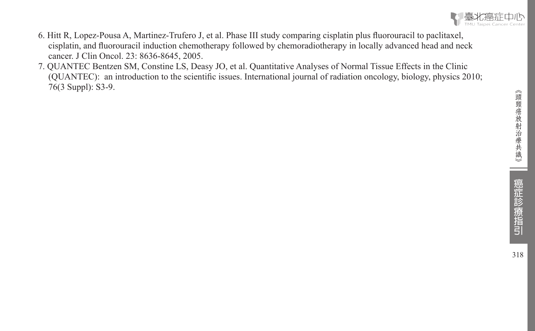

- 6. Hitt R, Lopez-Pousa A, Martinez-Trufero J, et al. Phase III study comparing cisplatin plus fluorouracil to paclitaxel, cisplatin, and fluorouracil induction chemotherapy followed by chemoradiotherapy in locally advanced head and neck cancer. J Clin Oncol. 23: 8636-8645, 2005.
- 7. QUANTEC Bentzen SM, Constine LS, Deasy JO, et al. Quantitative Analyses of Normal Tissue Effects in the Clinic (QUANTEC): an introduction to the scientific issues. International journal of radiation oncology, biology, physics 2010; 76(3 Suppl): S3-9.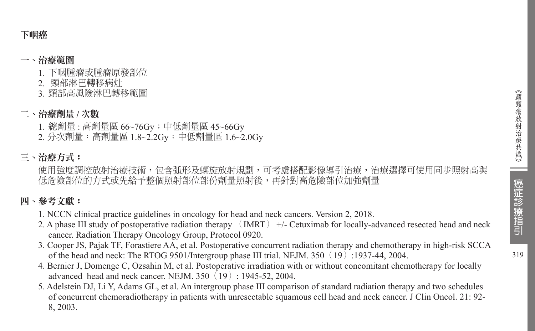### 下咽癌

#### 一、治療範圍

- 1. 下咽腫瘤或腫瘤原發部位
- 2. 頸部淋巴轉移病灶
- 3. 頸部高風險淋巴轉移範圍

### 二、治療劑量 **/** 次數

- 1. 總劑量 : 高劑量區 66~76Gy;中低劑量區 45~66Gy
- 2. 分次劑量:高劑量區 1.8~2.2Gy;中低劑量區 1.6~2.0Gy

## 三、治療方式:

使用強度調控放射治療技術,包含弧形及螺旋放射規劃,可考慮搭配影像導引治療,治療選擇可使用同步照射高與 低危險部位的方式或先給不整個照射部位部份劑量照射後,再針對高危險部位加強劑量

## 四、參考文獻:

- 1. NCCN clinical practice guidelines in oncology for head and neck cancers. Version 2, 2018.
- 2. A phase III study of postoperative radiation therapy (IMRT) +/- Cetuximab for locally-advanced resected head and neck cancer. Radiation Therapy Oncology Group, Protocol 0920.
- 3. Cooper JS, Pajak TF, Forastiere AA, et al. Postoperative concurrent radiation therapy and chemotherapy in high-risk SCCA of the head and neck: The RTOG 9501/Intergroup phase III trial. NEJM. 350(19):1937-44, 2004.
- 4. Bernier J, Domenge C, Ozsahin M, et al. Postoperative irradiation with or without concomitant chemotherapy for locally advanced head and neck cancer. NEJM.  $350(19): 1945-52, 2004$ .
- 5. Adelstein DJ, Li Y, Adams GL, et al. An intergroup phase III comparison of standard radiation therapy and two schedules of concurrent chemoradiotherapy in patients with unresectable squamous cell head and neck cancer. J Clin Oncol. 21: 92- 8, 2003.